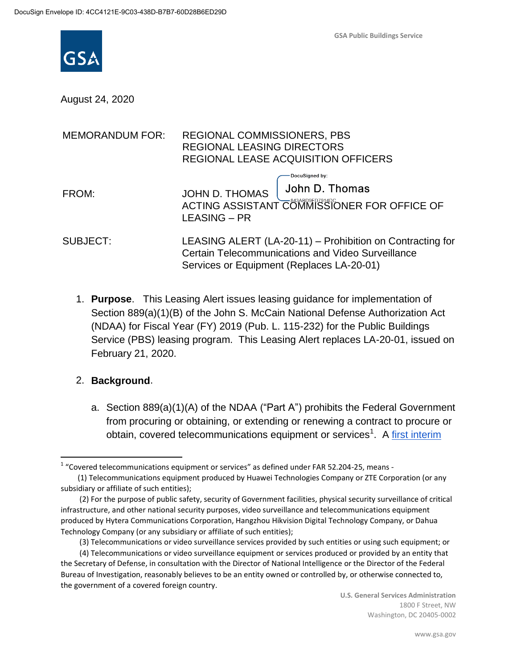

August 24, 2020

| <b>MEMORANDUM FOR:</b> | REGIONAL COMMISSIONERS, PBS<br><b>REGIONAL LEASING DIRECTORS</b><br><b>REGIONAL LEASE ACQUISITION OFFICERS</b>                                                     |
|------------------------|--------------------------------------------------------------------------------------------------------------------------------------------------------------------|
| FROM:                  | <b>DocuSigned by:</b><br>John D. Thomas<br>JOHN D. THOMAS<br>ACTING ASSISTANT COMMISSIONER FOR OFFICE OF<br>LEASING – PR                                           |
| SUBJECT:               | LEASING ALERT (LA-20-11) - Prohibition on Contracting for<br><b>Certain Telecommunications and Video Surveillance</b><br>Services or Equipment (Replaces LA-20-01) |

1. **Purpose**. This Leasing Alert issues leasing guidance for implementation of Section 889(a)(1)(B) of the John S. McCain National Defense Authorization Act (NDAA) for Fiscal Year (FY) 2019 (Pub. L. 115-232) for the Public Buildings Service (PBS) leasing program. This Leasing Alert replaces LA-20-01, issued on February 21, 2020.

#### 2. **Background**.

 $\overline{a}$ 

a. Section 889(a)(1)(A) of the NDAA ("Part A") prohibits the Federal Government from procuring or obtaining, or extending or renewing a contract to procure or obtain, covered telecommunications equipment or services<sup>1</sup>. A first interim

 $1$  "Covered telecommunications equipment or services" as defined under FAR 52.204-25, means -

 <sup>(1)</sup> Telecommunications equipment produced by Huawei Technologies Company or ZTE Corporation (or any subsidiary or affiliate of such entities);

 <sup>(2)</sup> For the purpose of public safety, security of Government facilities, physical security surveillance of critical infrastructure, and other national security purposes, video surveillance and telecommunications equipment produced by Hytera Communications Corporation, Hangzhou Hikvision Digital Technology Company, or Dahua Technology Company (or any subsidiary or affiliate of such entities);

 <sup>(3)</sup> Telecommunications or video surveillance services provided by such entities or using such equipment; or

 <sup>(4)</sup> Telecommunications or video surveillance equipment or services produced or provided by an entity that the Secretary of Defense, in consultation with the Director of National Intelligence or the Director of the Federal Bureau of Investigation, reasonably believes to be an entity owned or controlled by, or otherwise connected to, the government of a covered foreign country.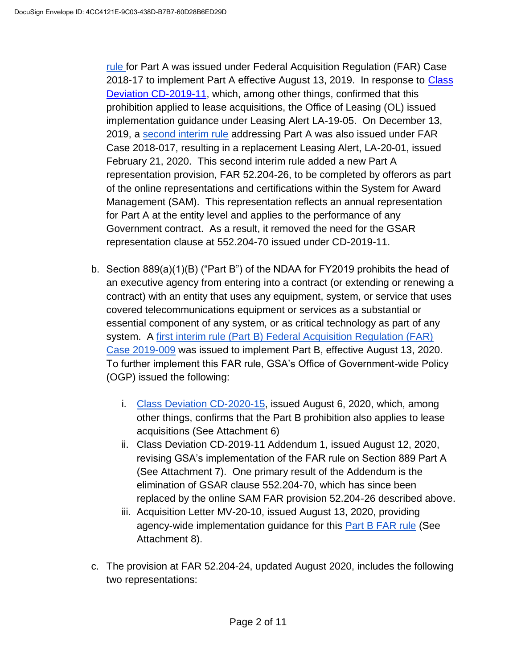[rule](https://www.federalregister.gov/documents/2019/08/13/2019-17201/federal-acquisition-regulation-prohibition-on-contracting-for-certain-telecommunications-and-video) for Part A was issued under Federal Acquisition Regulation (FAR) Case 2018-17 to implement Part A effective August 13, 2019. In response to Class [Deviation CD-2019-11,](https://www.gsa.gov/cdnstatic/CD-2019-11_0.pdf) which, among other things, confirmed that this prohibition applied to lease acquisitions, the Office of Leasing (OL) issued implementation guidance under Leasing Alert LA-19-05. On December 13, 2019, a [second interim rule](https://www.federalregister.gov/documents/2019/12/13/2019-26579/federal-acquisition-regulation-prohibition-on-contracting-for-certain-telecommunications-and-video) addressing Part A was also issued under FAR Case 2018-017, resulting in a replacement Leasing Alert, LA-20-01, issued February 21, 2020. This second interim rule added a new Part A representation provision, FAR 52.204-26, to be completed by offerors as part of the online representations and certifications within the System for Award Management (SAM). This representation reflects an annual representation for Part A at the entity level and applies to the performance of any Government contract. As a result, it removed the need for the GSAR representation clause at 552.204-70 issued under CD-2019-11.

- b. Section 889(a)(1)(B) ("Part B") of the NDAA for FY2019 prohibits the head of an executive agency from entering into a contract (or extending or renewing a contract) with an entity that uses any equipment, system, or service that uses covered telecommunications equipment or services as a substantial or essential component of any system, or as critical technology as part of any system. A [first interim rule \(Part B\) Federal Acquisition Regulation \(FAR\)](https://acquisition.gov/sites/default/files/page_file_uploads/FAR%20Case%202019-009-Interim_Rule_prepublication_07_10_20.pdf)  [Case 2019-009](https://acquisition.gov/sites/default/files/page_file_uploads/FAR%20Case%202019-009-Interim_Rule_prepublication_07_10_20.pdf) was issued to implement Part B, effective August 13, 2020. To further implement this FAR rule, GSA's Office of Government-wide Policy (OGP) issued the following:
	- i. [Class Deviation CD-2020-15,](https://insite.gsa.gov/cdnstatic/CD-2020-15.pdf) issued August 6, 2020, which, among other things, confirms that the Part B prohibition also applies to lease acquisitions (See Attachment 6)
	- ii. Class Deviation CD-2019-11 Addendum 1, issued August 12, 2020, revising GSA's implementation of the FAR rule on Section 889 Part A (See Attachment 7). One primary result of the Addendum is the elimination of GSAR clause 552.204-70, which has since been replaced by the online SAM FAR provision 52.204-26 described above.
	- iii. Acquisition Letter MV-20-10, issued August 13, 2020, providing agency-wide implementation guidance for this [Part B FAR rule](https://acquisition.gov/sites/default/files/page_file_uploads/FAR%20Case%202019-009-Interim_Rule_prepublication_07_10_20.pdf) (See Attachment 8).
- c. The provision at FAR 52.204-24, updated August 2020, includes the following two representations: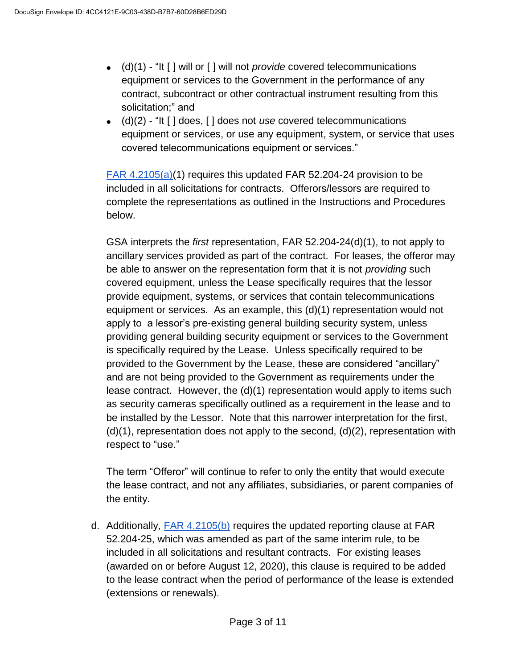- (d)(1) "It [ ] will or [ ] will not *provide* covered telecommunications equipment or services to the Government in the performance of any contract, subcontract or other contractual instrument resulting from this solicitation;" and
- (d)(2) "It [ ] does, [ ] does not *use* covered telecommunications equipment or services, or use any equipment, system, or service that uses covered telecommunications equipment or services."

[FAR 4.2105\(](https://www.acquisition.gov/content/part-4-administrative-and-information-matters#id1989H0G40RF)a)(1) requires this updated FAR 52.204-24 provision to be included in all solicitations for contracts. Offerors/lessors are required to complete the representations as outlined in the Instructions and Procedures below.

GSA interprets the *first* representation, FAR 52.204-24(d)(1), to not apply to ancillary services provided as part of the contract. For leases, the offeror may be able to answer on the representation form that it is not *providing* such covered equipment, unless the Lease specifically requires that the lessor provide equipment, systems, or services that contain telecommunications equipment or services. As an example, this (d)(1) representation would not apply to a lessor's pre-existing general building security system, unless providing general building security equipment or services to the Government is specifically required by the Lease. Unless specifically required to be provided to the Government by the Lease, these are considered "ancillary" and are not being provided to the Government as requirements under the lease contract. However, the (d)(1) representation would apply to items such as security cameras specifically outlined as a requirement in the lease and to be installed by the Lessor. Note that this narrower interpretation for the first,  $(d)(1)$ , representation does not apply to the second,  $(d)(2)$ , representation with respect to "use."

The term "Offeror" will continue to refer to only the entity that would execute the lease contract, and not any affiliates, subsidiaries, or parent companies of the entity.

d. Additionally, [FAR 4.2105\(b\)](https://www.acquisition.gov/content/part-4-administrative-and-information-matters#id1989H0G40RF) requires the updated reporting clause at FAR 52.204-25, which was amended as part of the same interim rule, to be included in all solicitations and resultant contracts. For existing leases (awarded on or before August 12, 2020), this clause is required to be added to the lease contract when the period of performance of the lease is extended (extensions or renewals).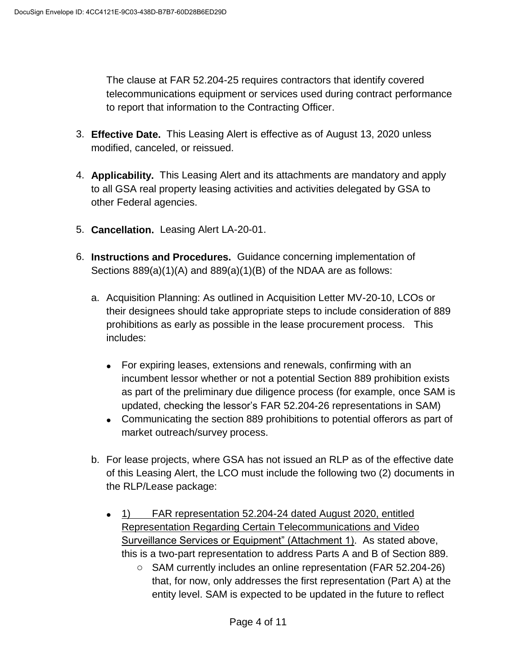The clause at FAR 52.204-25 requires contractors that identify covered telecommunications equipment or services used during contract performance to report that information to the Contracting Officer.

- 3. **Effective Date.** This Leasing Alert is effective as of August 13, 2020 unless modified, canceled, or reissued.
- 4. **Applicability.** This Leasing Alert and its attachments are mandatory and apply to all GSA real property leasing activities and activities delegated by GSA to other Federal agencies.
- 5. **Cancellation.** Leasing Alert LA-20-01.
- 6. **Instructions and Procedures.** Guidance concerning implementation of Sections 889(a)(1)(A) and 889(a)(1)(B) of the NDAA are as follows:
	- a. Acquisition Planning: As outlined in Acquisition Letter MV-20-10, LCOs or their designees should take appropriate steps to include consideration of 889 prohibitions as early as possible in the lease procurement process. This includes:
		- For expiring leases, extensions and renewals, confirming with an incumbent lessor whether or not a potential Section 889 prohibition exists as part of the preliminary due diligence process (for example, once SAM is updated, checking the lessor's FAR 52.204-26 representations in SAM)
		- Communicating the section 889 prohibitions to potential offerors as part of market outreach/survey process.
	- b. For lease projects, where GSA has not issued an RLP as of the effective date of this Leasing Alert, the LCO must include the following two (2) documents in the RLP/Lease package:
		- 1) FAR representation 52.204-24 dated August 2020, entitled Representation Regarding Certain Telecommunications and Video Surveillance Services or Equipment" (Attachment 1). As stated above, this is a two-part representation to address Parts A and B of Section 889.
			- o SAM currently includes an online representation (FAR 52.204-26) that, for now, only addresses the first representation (Part A) at the entity level. SAM is expected to be updated in the future to reflect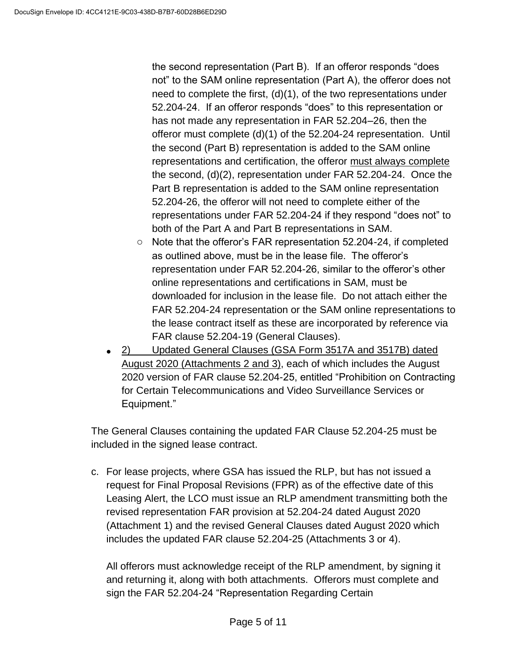the second representation (Part B). If an offeror responds "does not" to the SAM online representation (Part A), the offeror does not need to complete the first,  $(d)(1)$ , of the two representations under 52.204-24. If an offeror responds "does" to this representation or has not made any representation in FAR 52.204–26, then the offeror must complete (d)(1) of the 52.204-24 representation. Until the second (Part B) representation is added to the SAM online representations and certification, the offeror must always complete the second, (d)(2), representation under FAR 52.204-24. Once the Part B representation is added to the SAM online representation 52.204-26, the offeror will not need to complete either of the representations under FAR 52.204-24 if they respond "does not" to both of the Part A and Part B representations in SAM.

- o Note that the offeror's FAR representation 52.204-24, if completed as outlined above, must be in the lease file. The offeror's representation under FAR 52.204-26, similar to the offeror's other online representations and certifications in SAM, must be downloaded for inclusion in the lease file. Do not attach either the FAR 52.204-24 representation or the SAM online representations to the lease contract itself as these are incorporated by reference via FAR clause 52.204-19 (General Clauses).
- 2) Updated General Clauses (GSA Form 3517A and 3517B) dated August 2020 (Attachments 2 and 3), each of which includes the August 2020 version of FAR clause 52.204-25, entitled "Prohibition on Contracting for Certain Telecommunications and Video Surveillance Services or Equipment."

The General Clauses containing the updated FAR Clause 52.204-25 must be included in the signed lease contract.

c. For lease projects, where GSA has issued the RLP, but has not issued a request for Final Proposal Revisions (FPR) as of the effective date of this Leasing Alert, the LCO must issue an RLP amendment transmitting both the revised representation FAR provision at 52.204-24 dated August 2020 (Attachment 1) and the revised General Clauses dated August 2020 which includes the updated FAR clause 52.204-25 (Attachments 3 or 4).

All offerors must acknowledge receipt of the RLP amendment, by signing it and returning it, along with both attachments. Offerors must complete and sign the FAR 52.204-24 "Representation Regarding Certain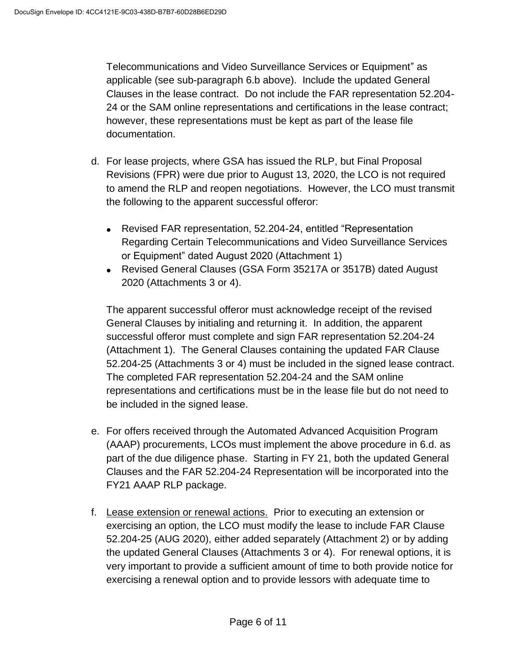Telecommunications and Video Surveillance Services or Equipment" as applicable (see sub-paragraph 6.b above). Include the updated General Clauses in the lease contract. Do not include the FAR representation 52.204- 24 or the SAM online representations and certifications in the lease contract; however, these representations must be kept as part of the lease file documentation.

- d. For lease projects, where GSA has issued the RLP, but Final Proposal Revisions (FPR) were due prior to August 13, 2020, the LCO is not required to amend the RLP and reopen negotiations. However, the LCO must transmit the following to the apparent successful offeror:
	- Revised FAR representation, 52.204-24, entitled "Representation Regarding Certain Telecommunications and Video Surveillance Services or Equipment" dated August 2020 (Attachment 1)
	- Revised General Clauses (GSA Form 35217A or 3517B) dated August 2020 (Attachments 3 or 4).

The apparent successful offeror must acknowledge receipt of the revised General Clauses by initialing and returning it. In addition, the apparent successful offeror must complete and sign FAR representation 52.204-24 (Attachment 1). The General Clauses containing the updated FAR Clause 52.204-25 (Attachments 3 or 4) must be included in the signed lease contract. The completed FAR representation 52.204-24 and the SAM online representations and certifications must be in the lease file but do not need to be included in the signed lease.

- e. For offers received through the Automated Advanced Acquisition Program (AAAP) procurements, LCOs must implement the above procedure in 6.d. as part of the due diligence phase. Starting in FY 21, both the updated General Clauses and the FAR 52.204-24 Representation will be incorporated into the FY21 AAAP RLP package.
- f. Lease extension or renewal actions. Prior to executing an extension or exercising an option, the LCO must modify the lease to include FAR Clause 52.204-25 (AUG 2020), either added separately (Attachment 2) or by adding the updated General Clauses (Attachments 3 or 4). For renewal options, it is very important to provide a sufficient amount of time to both provide notice for exercising a renewal option and to provide lessors with adequate time to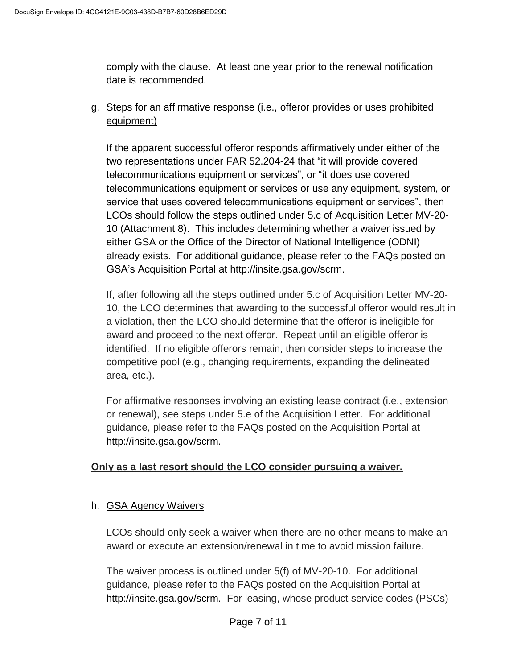comply with the clause. At least one year prior to the renewal notification date is recommended.

g. Steps for an affirmative response (i.e., offeror provides or uses prohibited equipment)

If the apparent successful offeror responds affirmatively under either of the two representations under FAR 52.204-24 that "it will provide covered telecommunications equipment or services", or "it does use covered telecommunications equipment or services or use any equipment, system, or service that uses covered telecommunications equipment or services", then LCOs should follow the steps outlined under 5.c of Acquisition Letter MV-20- 10 (Attachment 8). This includes determining whether a waiver issued by either GSA or the Office of the Director of National Intelligence (ODNI) already exists. For additional guidance, please refer to the FAQs posted on GSA's Acquisition Portal at [http://insite.gsa.gov/scrm.](http://insite.gsa.gov/scrm)

If, after following all the steps outlined under 5.c of Acquisition Letter MV-20- 10, the LCO determines that awarding to the successful offeror would result in a violation, then the LCO should determine that the offeror is ineligible for award and proceed to the next offeror. Repeat until an eligible offeror is identified. If no eligible offerors remain, then consider steps to increase the competitive pool (e.g., changing requirements, expanding the delineated area, etc.).

For affirmative responses involving an existing lease contract (i.e., extension or renewal), see steps under 5.e of the Acquisition Letter. For additional guidance, please refer to the FAQs posted on the Acquisition Portal at [http://insite.gsa.gov/scrm.](http://insite.gsa.gov/scrm)

## **Only as a last resort should the LCO consider pursuing a waiver.**

## h. GSA Agency Waivers

LCOs should only seek a waiver when there are no other means to make an award or execute an extension/renewal in time to avoid mission failure.

The waiver process is outlined under 5(f) of MV-20-10. For additional guidance, please refer to the FAQs posted on the Acquisition Portal at [http://insite.gsa.gov/scrm.](http://insite.gsa.gov/scrm) For leasing, whose product service codes (PSCs)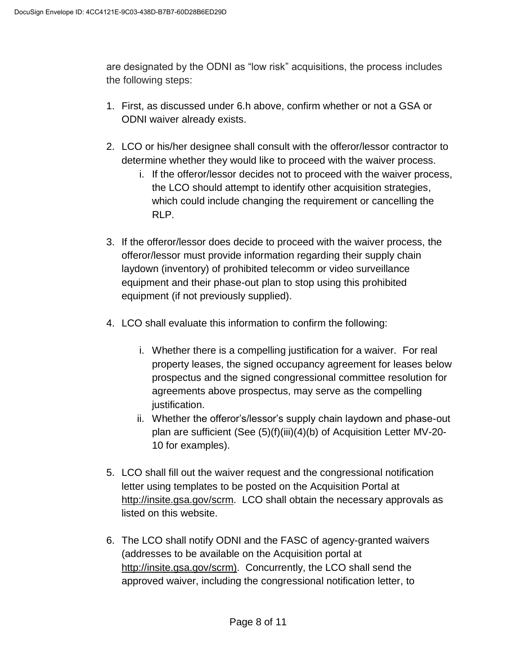are designated by the ODNI as "low risk" acquisitions, the process includes the following steps:

- 1. First, as discussed under 6.h above, confirm whether or not a GSA or ODNI waiver already exists.
- 2. LCO or his/her designee shall consult with the offeror/lessor contractor to determine whether they would like to proceed with the waiver process.
	- i. If the offeror/lessor decides not to proceed with the waiver process, the LCO should attempt to identify other acquisition strategies, which could include changing the requirement or cancelling the RLP.
- 3. If the offeror/lessor does decide to proceed with the waiver process, the offeror/lessor must provide information regarding their supply chain laydown (inventory) of prohibited telecomm or video surveillance equipment and their phase-out plan to stop using this prohibited equipment (if not previously supplied).
- 4. LCO shall evaluate this information to confirm the following:
	- i. Whether there is a compelling justification for a waiver. For real property leases, the signed occupancy agreement for leases below prospectus and the signed congressional committee resolution for agreements above prospectus, may serve as the compelling justification.
	- ii. Whether the offeror's/lessor's supply chain laydown and phase-out plan are sufficient (See (5)(f)(iii)(4)(b) of Acquisition Letter MV-20- 10 for examples).
- 5. LCO shall fill out the waiver request and the congressional notification letter using templates to be posted on the Acquisition Portal at [http://insite.gsa.gov/scrm.](http://insite.gsa.gov/scrm) LCO shall obtain the necessary approvals as listed on this website.
- 6. The LCO shall notify ODNI and the FASC of agency-granted waivers (addresses to be available on the Acquisition portal at [http://insite.gsa.gov/scrm\)](http://insite.gsa.gov/scrm). Concurrently, the LCO shall send the approved waiver, including the congressional notification letter, to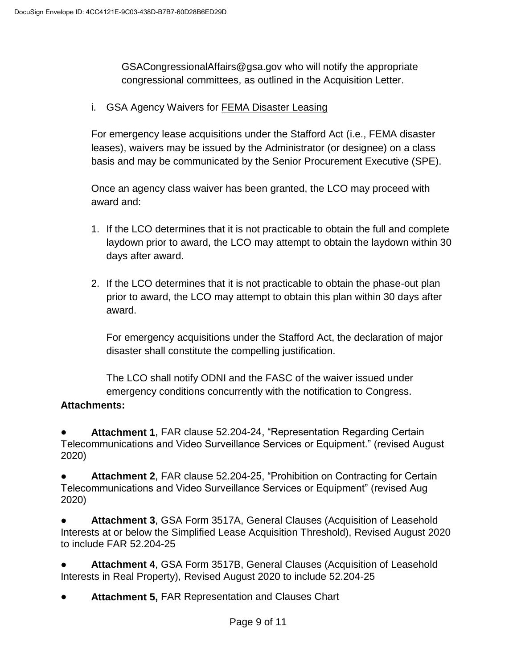GSACongressionalAffairs@gsa.gov who will notify the appropriate congressional committees, as outlined in the Acquisition Letter.

i. GSA Agency Waivers for FEMA Disaster Leasing

For emergency lease acquisitions under the Stafford Act (i.e., FEMA disaster leases), waivers may be issued by the Administrator (or designee) on a class basis and may be communicated by the Senior Procurement Executive (SPE).

Once an agency class waiver has been granted, the LCO may proceed with award and:

- 1. If the LCO determines that it is not practicable to obtain the full and complete laydown prior to award, the LCO may attempt to obtain the laydown within 30 days after award.
- 2. If the LCO determines that it is not practicable to obtain the phase-out plan prior to award, the LCO may attempt to obtain this plan within 30 days after award.

For emergency acquisitions under the Stafford Act, the declaration of major disaster shall constitute the compelling justification.

The LCO shall notify ODNI and the FASC of the waiver issued under emergency conditions concurrently with the notification to Congress.

#### **Attachments:**

Attachment 1, FAR clause 52.204-24, "Representation Regarding Certain Telecommunications and Video Surveillance Services or Equipment." (revised August 2020)

**Attachment 2, FAR clause 52.204-25, "Prohibition on Contracting for Certain** Telecommunications and Video Surveillance Services or Equipment" (revised Aug 2020)

Attachment 3, GSA Form 3517A, General Clauses (Acquisition of Leasehold Interests at or below the Simplified Lease Acquisition Threshold), Revised August 2020 to include FAR 52.204-25

Attachment 4, GSA Form 3517B, General Clauses (Acquisition of Leasehold Interests in Real Property), Revised August 2020 to include 52.204-25

Attachment 5, FAR Representation and Clauses Chart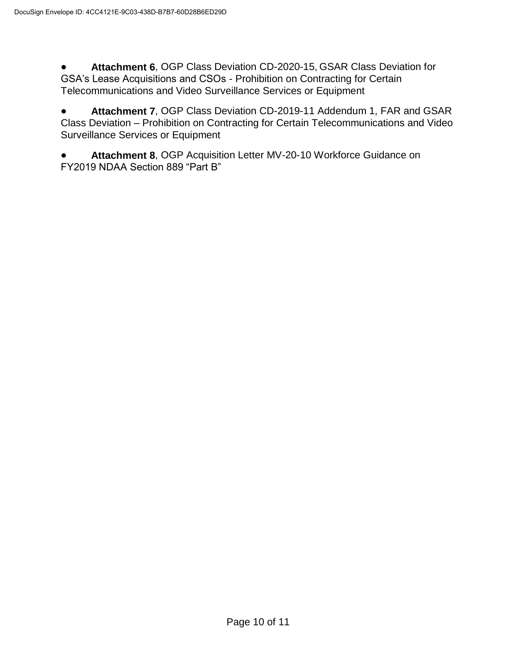Attachment 6, OGP Class Deviation CD-2020-15, GSAR Class Deviation for GSA's Lease Acquisitions and CSOs - Prohibition on Contracting for Certain Telecommunications and Video Surveillance Services or Equipment

● **Attachment 7**, OGP Class Deviation CD-2019-11 Addendum 1, FAR and GSAR Class Deviation – Prohibition on Contracting for Certain Telecommunications and Video Surveillance Services or Equipment

Attachment 8, OGP Acquisition Letter MV-20-10 Workforce Guidance on FY2019 NDAA Section 889 "Part B"